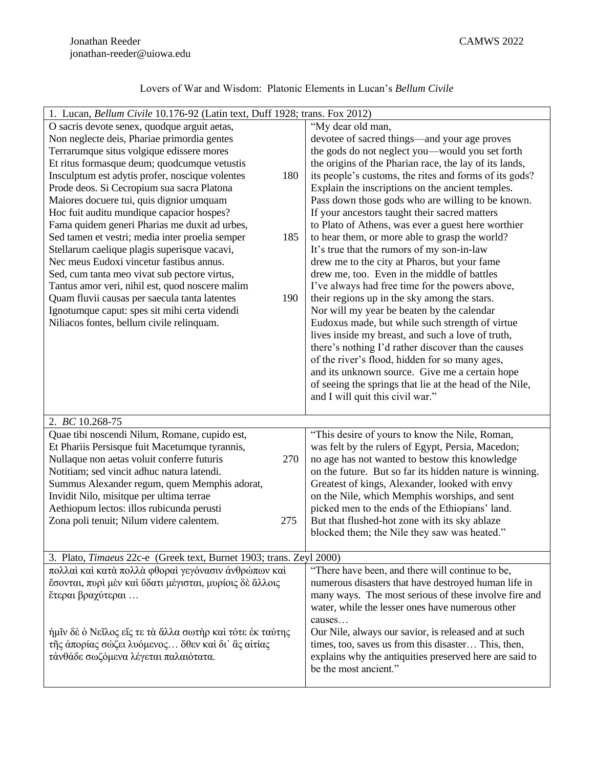|  | Lovers of War and Wisdom: Platonic Elements in Lucan's Bellum Civile |
|--|----------------------------------------------------------------------|
|--|----------------------------------------------------------------------|

| 1. Lucan, Bellum Civile 10.176-92 (Latin text, Duff 1928; trans. Fox 2012)                              |                                                         |  |
|---------------------------------------------------------------------------------------------------------|---------------------------------------------------------|--|
| O sacris devote senex, quodque arguit aetas,                                                            | "My dear old man,                                       |  |
| Non neglecte deis, Phariae primordia gentes                                                             | devotee of sacred things-and your age proves            |  |
| Terrarumque situs volgique edissere mores                                                               | the gods do not neglect you-would you set forth         |  |
| Et ritus formasque deum; quodcumque vetustis                                                            | the origins of the Pharian race, the lay of its lands,  |  |
| Insculptum est adytis profer, noscique volentes<br>180                                                  | its people's customs, the rites and forms of its gods?  |  |
| Prode deos. Si Cecropium sua sacra Platona                                                              | Explain the inscriptions on the ancient temples.        |  |
| Maiores docuere tui, quis dignior umquam                                                                | Pass down those gods who are willing to be known.       |  |
| Hoc fuit auditu mundique capacior hospes?                                                               | If your ancestors taught their sacred matters           |  |
| Fama quidem generi Pharias me duxit ad urbes,                                                           | to Plato of Athens, was ever a guest here worthier      |  |
| Sed tamen et vestri; media inter proelia semper<br>185                                                  | to hear them, or more able to grasp the world?          |  |
| Stellarum caelique plagis superisque vacavi,                                                            | It's true that the rumors of my son-in-law              |  |
| Nec meus Eudoxi vincetur fastibus annus.                                                                | drew me to the city at Pharos, but your fame            |  |
| Sed, cum tanta meo vivat sub pectore virtus,                                                            | drew me, too. Even in the middle of battles             |  |
| Tantus amor veri, nihil est, quod noscere malim                                                         | I've always had free time for the powers above,         |  |
| Quam fluvii causas per saecula tanta latentes<br>190                                                    | their regions up in the sky among the stars.            |  |
| Ignotumque caput: spes sit mihi certa videndi                                                           | Nor will my year be beaten by the calendar              |  |
| Niliacos fontes, bellum civile relinquam.                                                               | Eudoxus made, but while such strength of virtue         |  |
|                                                                                                         | lives inside my breast, and such a love of truth,       |  |
|                                                                                                         | there's nothing I'd rather discover than the causes     |  |
|                                                                                                         | of the river's flood, hidden for so many ages,          |  |
|                                                                                                         | and its unknown source. Give me a certain hope          |  |
|                                                                                                         | of seeing the springs that lie at the head of the Nile, |  |
|                                                                                                         | and I will quit this civil war."                        |  |
|                                                                                                         |                                                         |  |
| 2. BC 10.268-75                                                                                         |                                                         |  |
| Quae tibi noscendi Nilum, Romane, cupido est,                                                           | "This desire of yours to know the Nile, Roman,          |  |
| Et Phariis Persisque fuit Macetumque tyrannis,                                                          | was felt by the rulers of Egypt, Persia, Macedon;       |  |
| Nullaque non aetas voluit conferre futuris<br>270                                                       | no age has not wanted to bestow this knowledge          |  |
| Notitiam; sed vincit adhuc natura latendi.                                                              | on the future. But so far its hidden nature is winning. |  |
| Summus Alexander regum, quem Memphis adorat,                                                            | Greatest of kings, Alexander, looked with envy          |  |
| Invidit Nilo, misitque per ultima terrae                                                                | on the Nile, which Memphis worships, and sent           |  |
| Aethiopum lectos: illos rubicunda perusti                                                               | picked men to the ends of the Ethiopians' land.         |  |
| Zona poli tenuit; Nilum videre calentem.<br>275                                                         | But that flushed-hot zone with its sky ablaze           |  |
|                                                                                                         | blocked them; the Nile they saw was heated."            |  |
|                                                                                                         |                                                         |  |
| 3. Plato, Timaeus 22c-e (Greek text, Burnet 1903; trans. Zeyl 2000)                                     |                                                         |  |
| πολλαί και κατά πολλά φθοραί γεγόνασιν άνθρώπων καί<br>"There have been, and there will continue to be, |                                                         |  |
| έσονται, πυρί μεν και ύδατι μέγισται, μυρίοις δε άλλοις                                                 | numerous disasters that have destroyed human life in    |  |
| έτεραι βραχύτεραι                                                                                       | many ways. The most serious of these involve fire and   |  |
|                                                                                                         | water, while the lesser ones have numerous other        |  |
|                                                                                                         | causes                                                  |  |
| ήμῖν δὲ ὁ Νεῖλος εἴς τε τὰ ἄλλα σωτὴρ καὶ τότε ἐκ ταύτης                                                | Our Nile, always our savior, is released and at such    |  |
| τῆς ἀπορίας σώζει λυόμενος ὅθεν καὶ δι' ἃς αἰτίας                                                       | times, too, saves us from this disaster This, then,     |  |
| τάνθάδε σωζόμενα λέγεται παλαιότατα.                                                                    | explains why the antiquities preserved here are said to |  |
|                                                                                                         | be the most ancient."                                   |  |
|                                                                                                         |                                                         |  |